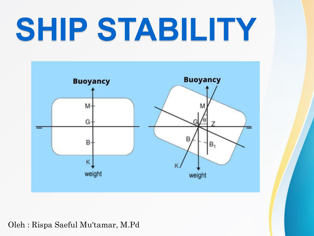# SHIP STABILITY



#### Oleh : Rispa Saeful Mu'tamar, M.Pd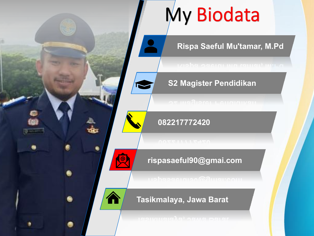### My Biodata

#### **Rispa Saeful Mu'tamar, M.Pd Rispa Saeful Mu'tamar, M.Pd**



**S2 Magister Pendidikan S2 Magister Pendidikan**

#### **082217772420 082217772420**

#### **rispasaeful90@gmai.com rispasaeful90@gmai.com**

#### **Tasikmalaya, Jawa Barat Tasikmalaya, Jawa Barat**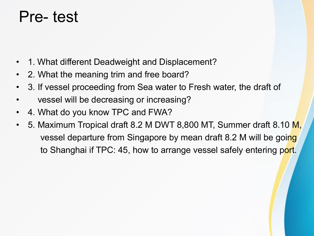### Pre- test

- 1. What different Deadweight and Displacement?
- 2. What the meaning trim and free board?
- 3. If vessel proceeding from Sea water to Fresh water, the draft of
- vessel will be decreasing or increasing?
- 4. What do you know TPC and FWA?
- 5. Maximum Tropical draft 8.2 M DWT 8,800 MT, Summer draft 8.10 M, vessel departure from Singapore by mean draft 8.2 M will be going to Shanghai if TPC: 45, how to arrange vessel safely entering port.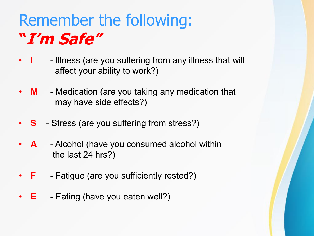### Remember the following: **"I'm Safe"**

- **I** Illness (are you suffering from any illness that will affect your ability to work?)
- **M** Medication (are you taking any medication that may have side effects?)
- **S** Stress (are you suffering from stress?)
- **A** Alcohol (have you consumed alcohol within the last 24 hrs?)
- **F** Fatigue (are you sufficiently rested?)
- **E** Eating (have you eaten well?)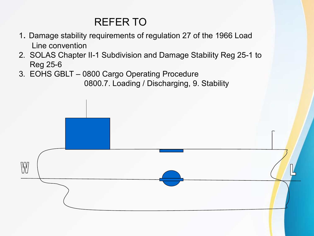#### REFER TO

- 1. Damage stability requirements of regulation 27 of the 1966 Load Line convention
- 2. SOLAS Chapter II-1 Subdivision and Damage Stability Reg 25-1 to Reg 25-6
- 3. EOHS GBLT 0800 Cargo Operating Procedure

0800.7. Loading / Discharging, 9. Stability

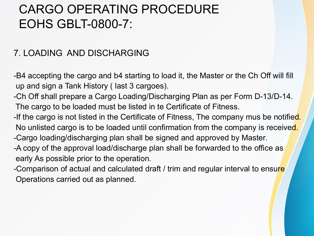#### CARGO OPERATING PROCEDURE EOHS GBLT-0800-7:

#### 7. LOADING AND DISCHARGING

-B4 accepting the cargo and b4 starting to load it, the Master or the Ch Off will fill up and sign a Tank History ( last 3 cargoes).

-Ch Off shall prepare a Cargo Loading/Discharging Plan as per Form D-13/D-14. The cargo to be loaded must be listed in te Certificate of Fitness.

-If the cargo is not listed in the Certificate of Fitness, The company mus be notified. No unlisted cargo is to be loaded until confirmation from the company is received. -Cargo loading/discharging plan shall be signed and approved by Master.

-A copy of the approval load/discharge plan shall be forwarded to the office as early As possible prior to the operation.

-Comparison of actual and calculated draft / trim and regular interval to ensure Operations carried out as planned.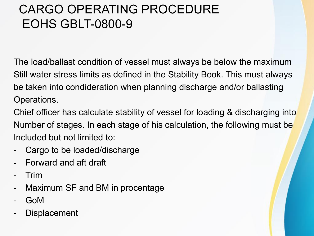### CARGO OPERATING PROCEDURE EOHS GBLT-0800-9

The load/ballast condition of vessel must always be below the maximum Still water stress limits as defined in the Stability Book. This must always be taken into condideration when planning discharge and/or ballasting Operations.

Chief officer has calculate stability of vessel for loading & discharging into Number of stages. In each stage of his calculation, the following must be Included but not limited to:

- Cargo to be loaded/discharge
- Forward and aft draft
- Trim
- Maximum SF and BM in procentage
- GoM
- **Displacement**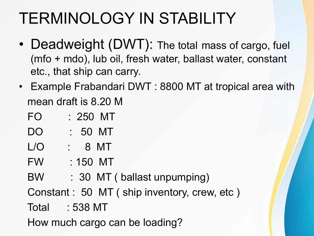### TERMINOLOGY IN STABILITY

- Deadweight (DWT): The total mass of cargo, fuel (mfo + mdo), lub oil, fresh water, ballast water, constant etc., that ship can carry.
- Example Frabandari DWT : 8800 MT at tropical area with mean draft is 8.20 M
	- FO : 250 MT
	- DO : 50 MT
	- L/O : 8 MT
	- FW : 150 MT
	- BW : 30 MT ( ballast unpumping)

Constant : 50 MT ( ship inventory, crew, etc )

Total : 538 MT

How much cargo can be loading?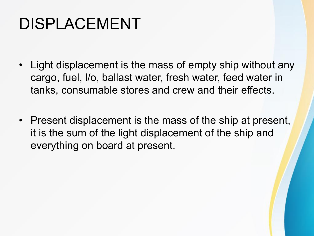### DISPLACEMENT

- Light displacement is the mass of empty ship without any cargo, fuel, l/o, ballast water, fresh water, feed water in tanks, consumable stores and crew and their effects.
- Present displacement is the mass of the ship at present, it is the sum of the light displacement of the ship and everything on board at present.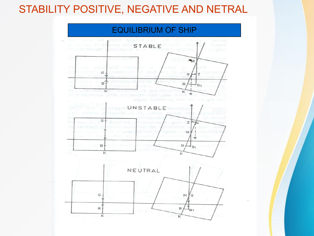#### STABILITY POSITIVE, NEGATIVE AND NETRAL

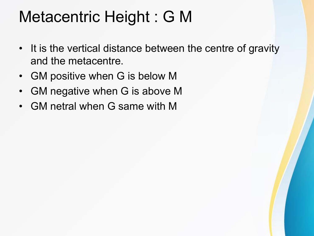### Metacentric Height : G M

- It is the vertical distance between the centre of gravity and the metacentre.
- GM positive when G is below M
- GM negative when G is above M
- GM netral when G same with M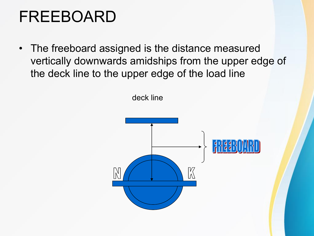### FREEBOARD

• The freeboard assigned is the distance measured vertically downwards amidships from the upper edge of the deck line to the upper edge of the load line

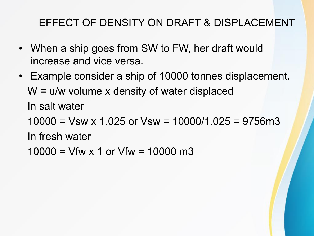#### EFFECT OF DENSITY ON DRAFT & DISPLACEMENT

- When a ship goes from SW to FW, her draft would increase and vice versa.
- Example consider a ship of 10000 tonnes displacement.  $W = u/w$  volume x density of water displaced In salt water  $10000 =$  Vsw x 1.025 or Vsw = 10000/1.025 = 9756m3

In fresh water

 $10000 = V$ fw x 1 or Vfw = 10000 m3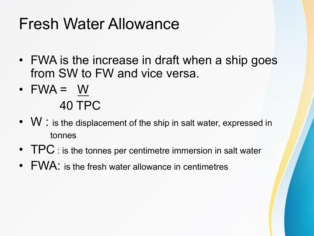### Fresh Water Allowance

- FWA is the increase in draft when a ship goes from SW to FW and vice versa.
- $\bullet$  FWA = W 40 TPC
- W : is the displacement of the ship in salt water, expressed in tonnes
- TPC : is the tonnes per centimetre immersion in salt water
- FWA: is the fresh water allowance in centimetres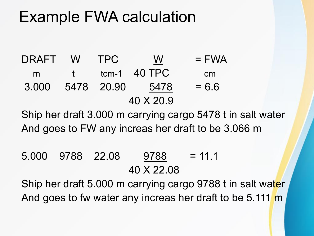### Example FWA calculation

 $DRAFT$  W TPC  $\underline{W}$  = FWA m t tcm-1 40 TPC cm  $3.000$  5478 20.90 5478 = 6.6 40 X 20.9

Ship her draft 3.000 m carrying cargo 5478 t in salt water And goes to FW any increas her draft to be 3.066 m

 $5.000$  9788 22.08 9788 = 11.1 40 X 22.08

Ship her draft 5.000 m carrying cargo 9788 t in salt water And goes to fw water any increas her draft to be 5.111 m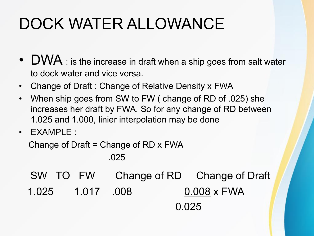### DOCK WATER ALLOWANCE

- DWA : is the increase in draft when a ship goes from salt water to dock water and vice versa.
- Change of Draft : Change of Relative Density x FWA
- When ship goes from SW to FW ( change of RD of .025) she increases her draft by FWA. So for any change of RD between 1.025 and 1.000, linier interpolation may be done
- EXAMPLE :

Change of Draft = Change of RD x FWA

.025

SW TO FW Change of RD Change of Draft 1.025 1.017 .008 0.008 x FWA 0.025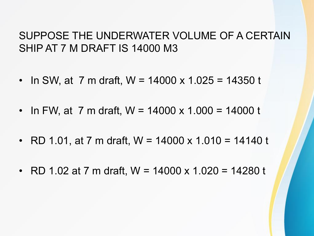#### SUPPOSE THE UNDERWATER VOLUME OF A CERTAIN SHIP AT 7 M DRAFT IS 14000 M3

- In SW, at 7 m draft, W =  $14000 \times 1.025 = 14350$  t
- In FW, at 7 m draft, W =  $14000 \times 1.000 = 14000$  t
- RD 1.01, at 7 m draft,  $W = 14000 \times 1.010 = 14140$  t
- RD 1.02 at 7 m draft,  $W = 14000 \times 1.020 = 14280$  t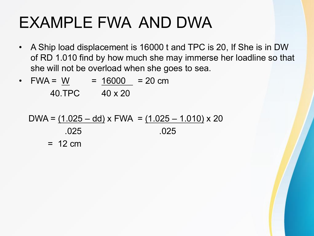### EXAMPLE FWA AND DWA

- A Ship load displacement is 16000 t and TPC is 20, If She is in DW of RD 1.010 find by how much she may immerse her loadline so that she will not be overload when she goes to sea.
- FWA = W = 16000 = 20 cm 40.TPC 40 x 20

$$
DWA = (1.025 - dd) \times FWA = (1.025 - 1.010) \times 20
$$
  
.025  
.025  
.025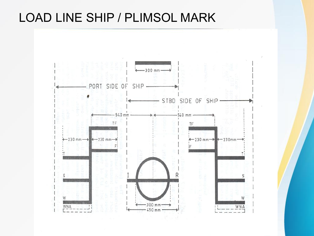#### LOAD LINE SHIP / PLIMSOL MARK

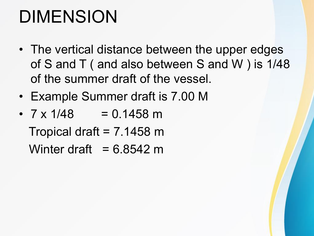### DIMENSION

- The vertical distance between the upper edges of S and T ( and also between S and W ) is 1/48 of the summer draft of the vessel.
- Example Summer draft is 7.00 M
- $7 \times 1/48$  = 0.1458 m Tropical draft =  $7.1458$  m Winter draft =  $6.8542$  m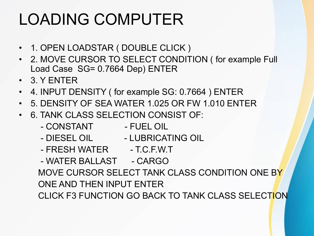### LOADING COMPUTER

- 1. OPEN LOADSTAR ( DOUBLE CLICK )
- 2. MOVE CURSOR TO SELECT CONDITION ( for example Full Load Case SG= 0.7664 Dep) ENTER
- 3. Y ENTER
- 4. INPUT DENSITY ( for example SG: 0.7664 ) ENTER
- 5. DENSITY OF SEA WATER 1.025 OR FW 1.010 ENTER
- 6. TANK CLASS SELECTION CONSIST OF:
	- CONSTANT FUEL OIL
	- DIESEL OIL LUBRICATING OIL
	- FRESH WATER T.C.F.W.T
	- WATER BALLAST CARGO MOVE CURSOR SELECT TANK CLASS CONDITION ONE BY ONE AND THEN INPUT ENTER CLICK F3 FUNCTION GO BACK TO TANK CLASS SELECTION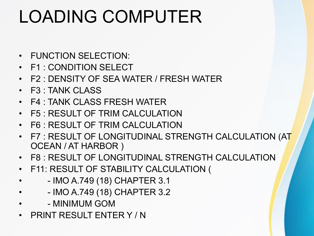### LOADING COMPUTER

- FUNCTION SELECTION:
- F1 : CONDITION SELECT
- F2 : DENSITY OF SEA WATER / FRESH WATER
- F3 : TANK CLASS
- F4 : TANK CLASS FRESH WATER
- F5 : RESULT OF TRIM CALCULATION
- F6 : RESULT OF TRIM CALCULATION
- F7 : RESULT OF LONGITUDINAL STRENGTH CALCULATION (AT OCEAN / AT HARBOR )
- F8 : RESULT OF LONGITUDINAL STRENGTH CALCULATION
- F11: RESULT OF STABILITY CALCULATION (
	- - IMO A.749 (18) CHAPTER 3.1
- - IMO A.749 (18) CHAPTER 3.2
- - MINIMUM GOM
- PRINT RESULT ENTER Y / N